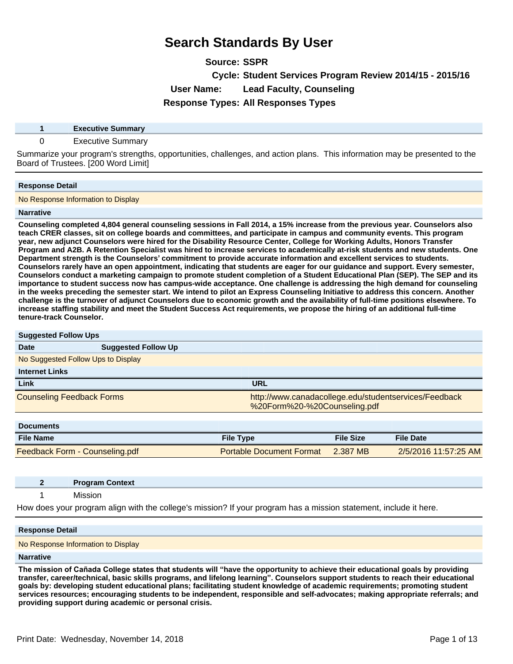**Source: SSPR**

**Cycle: Student Services Program Review 2014/15 - 2015/16**

**User Name: Lead Faculty, Counseling**

**Response Types: All Responses Types**

| <b>Executive Summary</b> |  |
|--------------------------|--|
|                          |  |

### 0 Executive Summary

Summarize your program's strengths, opportunities, challenges, and action plans. This information may be presented to the Board of Trustees. [200 Word Limit]

### **Response Detail**

No Response Information to Display

### **Narrative**

**Counseling completed 4,804 general counseling sessions in Fall 2014, a 15% increase from the previous year. Counselors also teach CRER classes, sit on college boards and committees, and participate in campus and community events. This program year, new adjunct Counselors were hired for the Disability Resource Center, College for Working Adults, Honors Transfer Program and A2B. A Retention Specialist was hired to increase services to academically at-risk students and new students. One**  Department strength is the Counselors' commitment to provide accurate information and excellent services to students. **Counselors rarely have an open appointment, indicating that students are eager for our guidance and support. Every semester, Counselors conduct a marketing campaign to promote student completion of a Student Educational Plan (SEP). The SEP and its importance to student success now has campus-wide acceptance. One challenge is addressing the high demand for counseling in the weeks preceding the semester start. We intend to pilot an Express Counseling Initiative to address this concern. Another challenge is the turnover of adjunct Counselors due to economic growth and the availability of full-time positions elsewhere. To increase staffing stability and meet the Student Success Act requirements, we propose the hiring of an additional full-time tenure-track Counselor.**

| <b>Suggested Follow Ups</b>        |                            |                                 |                  |                                                       |
|------------------------------------|----------------------------|---------------------------------|------------------|-------------------------------------------------------|
| Date                               | <b>Suggested Follow Up</b> |                                 |                  |                                                       |
| No Suggested Follow Ups to Display |                            |                                 |                  |                                                       |
| <b>Internet Links</b>              |                            |                                 |                  |                                                       |
| Link                               |                            | <b>URL</b>                      |                  |                                                       |
| <b>Counseling Feedback Forms</b>   |                            | %20Form%20-%20Counseling.pdf    |                  | http://www.canadacollege.edu/studentservices/Feedback |
| <b>Documents</b>                   |                            |                                 |                  |                                                       |
| <b>File Name</b>                   |                            | <b>File Type</b>                | <b>File Size</b> | <b>File Date</b>                                      |
| Feedback Form - Counseling.pdf     |                            | <b>Portable Document Format</b> | 2.387 MB         | 2/5/2016 11:57:25 AM                                  |

| <b>Program Context</b>                                                                                            |
|-------------------------------------------------------------------------------------------------------------------|
| Mission                                                                                                           |
| How does your program align with the college's mission? If your program has a mission statement, include it here. |

#### **Response Detail**

No Response Information to Display

#### **Narrative**

The mission of Cañada College states that students will "have the opportunity to achieve their educational goals by providing **transfer, career/technical, basic skills programs, and lifelong learning´Counselors support students to reach their educational goals by: developing student educational plans; facilitating student knowledge of academic requirements; promoting student services resources; encouraging students to be independent, responsible and self-advocates; making appropriate referrals; and providing support during academic or personal crisis.**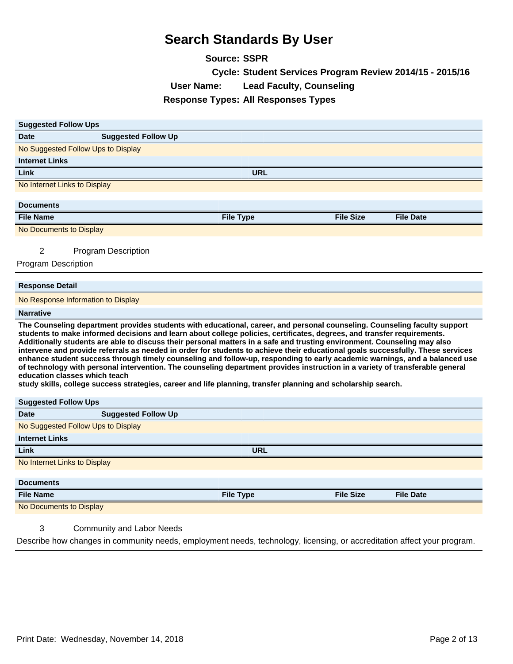**Source: SSPR**

|                                                                                                                                                                                                                                                                                                                                                                                                                                                                                                                                                                                                                                                                                                                                                                                                                                                                                                                                      |                                            | Cycle: Student Services Program Review 2014/15 - 2015/16 |                  |
|--------------------------------------------------------------------------------------------------------------------------------------------------------------------------------------------------------------------------------------------------------------------------------------------------------------------------------------------------------------------------------------------------------------------------------------------------------------------------------------------------------------------------------------------------------------------------------------------------------------------------------------------------------------------------------------------------------------------------------------------------------------------------------------------------------------------------------------------------------------------------------------------------------------------------------------|--------------------------------------------|----------------------------------------------------------|------------------|
|                                                                                                                                                                                                                                                                                                                                                                                                                                                                                                                                                                                                                                                                                                                                                                                                                                                                                                                                      | <b>User Name:</b>                          | <b>Lead Faculty, Counseling</b>                          |                  |
|                                                                                                                                                                                                                                                                                                                                                                                                                                                                                                                                                                                                                                                                                                                                                                                                                                                                                                                                      | <b>Response Types: All Responses Types</b> |                                                          |                  |
|                                                                                                                                                                                                                                                                                                                                                                                                                                                                                                                                                                                                                                                                                                                                                                                                                                                                                                                                      |                                            |                                                          |                  |
| <b>Suggested Follow Ups</b>                                                                                                                                                                                                                                                                                                                                                                                                                                                                                                                                                                                                                                                                                                                                                                                                                                                                                                          |                                            |                                                          |                  |
| <b>Suggested Follow Up</b><br><b>Date</b>                                                                                                                                                                                                                                                                                                                                                                                                                                                                                                                                                                                                                                                                                                                                                                                                                                                                                            |                                            |                                                          |                  |
| No Suggested Follow Ups to Display                                                                                                                                                                                                                                                                                                                                                                                                                                                                                                                                                                                                                                                                                                                                                                                                                                                                                                   |                                            |                                                          |                  |
| <b>Internet Links</b>                                                                                                                                                                                                                                                                                                                                                                                                                                                                                                                                                                                                                                                                                                                                                                                                                                                                                                                |                                            |                                                          |                  |
| Link                                                                                                                                                                                                                                                                                                                                                                                                                                                                                                                                                                                                                                                                                                                                                                                                                                                                                                                                 | URL                                        |                                                          |                  |
| No Internet Links to Display                                                                                                                                                                                                                                                                                                                                                                                                                                                                                                                                                                                                                                                                                                                                                                                                                                                                                                         |                                            |                                                          |                  |
|                                                                                                                                                                                                                                                                                                                                                                                                                                                                                                                                                                                                                                                                                                                                                                                                                                                                                                                                      |                                            |                                                          |                  |
| <b>Documents</b>                                                                                                                                                                                                                                                                                                                                                                                                                                                                                                                                                                                                                                                                                                                                                                                                                                                                                                                     |                                            | <b>File Size</b>                                         |                  |
| <b>File Name</b>                                                                                                                                                                                                                                                                                                                                                                                                                                                                                                                                                                                                                                                                                                                                                                                                                                                                                                                     | <b>File Type</b>                           |                                                          | <b>File Date</b> |
| No Documents to Display                                                                                                                                                                                                                                                                                                                                                                                                                                                                                                                                                                                                                                                                                                                                                                                                                                                                                                              |                                            |                                                          |                  |
| 2<br><b>Program Description</b>                                                                                                                                                                                                                                                                                                                                                                                                                                                                                                                                                                                                                                                                                                                                                                                                                                                                                                      |                                            |                                                          |                  |
| <b>Program Description</b>                                                                                                                                                                                                                                                                                                                                                                                                                                                                                                                                                                                                                                                                                                                                                                                                                                                                                                           |                                            |                                                          |                  |
|                                                                                                                                                                                                                                                                                                                                                                                                                                                                                                                                                                                                                                                                                                                                                                                                                                                                                                                                      |                                            |                                                          |                  |
| <b>Response Detail</b>                                                                                                                                                                                                                                                                                                                                                                                                                                                                                                                                                                                                                                                                                                                                                                                                                                                                                                               |                                            |                                                          |                  |
| No Response Information to Display                                                                                                                                                                                                                                                                                                                                                                                                                                                                                                                                                                                                                                                                                                                                                                                                                                                                                                   |                                            |                                                          |                  |
| <b>Narrative</b>                                                                                                                                                                                                                                                                                                                                                                                                                                                                                                                                                                                                                                                                                                                                                                                                                                                                                                                     |                                            |                                                          |                  |
| The Counseling department provides students with educational, career, and personal counseling. Counseling faculty support<br>students to make informed decisions and learn about college policies, certificates, degrees, and transfer requirements.<br>Additionally students are able to discuss their personal matters in a safe and trusting environment. Counseling may also<br>intervene and provide referrals as needed in order for students to achieve their educational goals successfully. These services<br>enhance student success through timely counseling and follow-up, responding to early academic warnings, and a balanced use<br>of technology with personal intervention. The counseling department provides instruction in a variety of transferable general<br>education classes which teach<br>study skills, college success strategies, career and life planning, transfer planning and scholarship search. |                                            |                                                          |                  |
| <b>Suggested Follow Ups</b>                                                                                                                                                                                                                                                                                                                                                                                                                                                                                                                                                                                                                                                                                                                                                                                                                                                                                                          |                                            |                                                          |                  |
| <b>Suggested Follow Up</b><br><b>Date</b>                                                                                                                                                                                                                                                                                                                                                                                                                                                                                                                                                                                                                                                                                                                                                                                                                                                                                            |                                            |                                                          |                  |
| No Suggested Follow Ups to Display                                                                                                                                                                                                                                                                                                                                                                                                                                                                                                                                                                                                                                                                                                                                                                                                                                                                                                   |                                            |                                                          |                  |
| <b>Internet Links</b>                                                                                                                                                                                                                                                                                                                                                                                                                                                                                                                                                                                                                                                                                                                                                                                                                                                                                                                |                                            |                                                          |                  |
| Link                                                                                                                                                                                                                                                                                                                                                                                                                                                                                                                                                                                                                                                                                                                                                                                                                                                                                                                                 | <b>URL</b>                                 |                                                          |                  |
| No Internet Links to Display                                                                                                                                                                                                                                                                                                                                                                                                                                                                                                                                                                                                                                                                                                                                                                                                                                                                                                         |                                            |                                                          |                  |
| <b>Documents</b>                                                                                                                                                                                                                                                                                                                                                                                                                                                                                                                                                                                                                                                                                                                                                                                                                                                                                                                     |                                            |                                                          |                  |
| <b>File Name</b>                                                                                                                                                                                                                                                                                                                                                                                                                                                                                                                                                                                                                                                                                                                                                                                                                                                                                                                     | <b>File Type</b>                           | <b>File Size</b>                                         | <b>File Date</b> |

No Documents to Display

### 3 Community and Labor Needs

Describe how changes in community needs, employment needs, technology, licensing, or accreditation affect your program.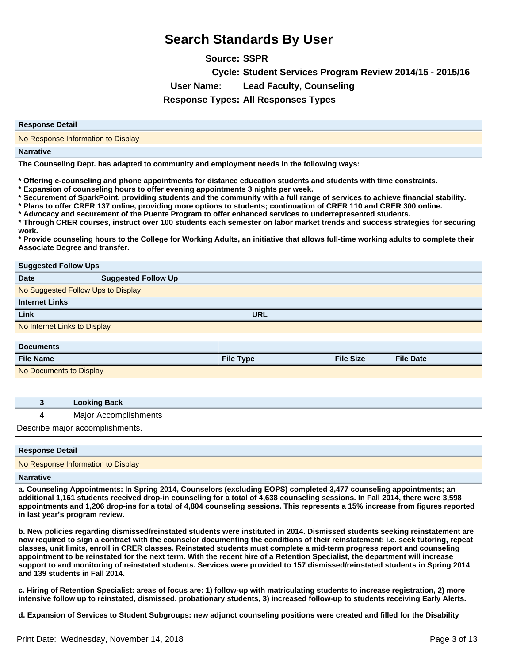**Source: SSPR Cycle: Student Services Program Review 2014/15 - 2015/16 User Name: Lead Faculty, Counseling Response Types: All Responses Types**

| <b>Response Detail</b>             |
|------------------------------------|
| No Response Information to Display |
| <b>Narrative</b>                   |

**The Counseling Dept. has adapted to community and employment needs in the following ways:**

**\* Offering e-counseling and phone appointments for distance education students and students with time constraints.**

**\* Expansion of counseling hours to offer evening appointments 3 nights per week.**

**\* Securement of SparkPoint, providing students and the community with a full range of services to achieve financial stability.**

**\* Plans to offer CRER 137 online, providing more options to students; continuation of CRER 110 and CRER 300 online.**

**\* Advocacy and securement of the Puente Program to offer enhanced services to underrepresented students.**

**\* Through CRER courses, instruct over 100 students each semester on labor market trends and success strategies for securing work.**

**\* Provide counseling hours to the College for Working Adults, an initiative that allows full-time working adults to complete their Associate Degree and transfer.**

| <b>Suggested Follow Ups</b>  |                                    |                  |                  |                  |
|------------------------------|------------------------------------|------------------|------------------|------------------|
| <b>Date</b>                  | <b>Suggested Follow Up</b>         |                  |                  |                  |
|                              | No Suggested Follow Ups to Display |                  |                  |                  |
| <b>Internet Links</b>        |                                    |                  |                  |                  |
| Link                         |                                    | <b>URL</b>       |                  |                  |
| No Internet Links to Display |                                    |                  |                  |                  |
|                              |                                    |                  |                  |                  |
| <b>Documents</b>             |                                    |                  |                  |                  |
| <b>File Name</b>             |                                    | <b>File Type</b> | <b>File Size</b> | <b>File Date</b> |
| No Documents to Display      |                                    |                  |                  |                  |
|                              |                                    |                  |                  |                  |
|                              |                                    |                  |                  |                  |
| 3                            | <b>Looking Back</b>                |                  |                  |                  |

4 Major Accomplishments

Describe major accomplishments.

| <b>Response Detail</b>             |  |
|------------------------------------|--|
| No Response Information to Display |  |

### **Narrative**

**a. Counseling Appointments: In Spring 2014, Counselors (excluding EOPS) completed 3,477 counseling appointments; an additional 1,161 students received drop-in counseling for a total of 4,638 counseling sessions. In Fall 2014, there were 3,598 appointments and 1,206 drop-ins for a total of 4,804 counseling sessions. This represents a 15% increase from figures reported in last year¶s program review.**

**b. New policies regarding dismissed/reinstated students were instituted in 2014. Dismissed students seeking reinstatement are now required to sign a contract with the counselor documenting the conditions of their reinstatement: i.e. seek tutoring, repeat classes, unit limits, enroll in CRER classes. Reinstated students must complete a mid-term progress report and counseling appointment to be reinstated for the next term. With the recent hire of a Retention Specialist, the department will increase support to and monitoring of reinstated students. Services were provided to 157 dismissed/reinstated students in Spring 2014 and 139 students in Fall 2014.**

**c. Hiring of Retention Specialist: areas of focus are: 1) follow-up with matriculating students to increase registration, 2) more intensive follow up to reinstated, dismissed, probationary students, 3) increased follow-up to students receiving Early Alerts.**

**d. Expansion of Services to Student Subgroups: new adjunct counseling positions were created and filled for the Disability**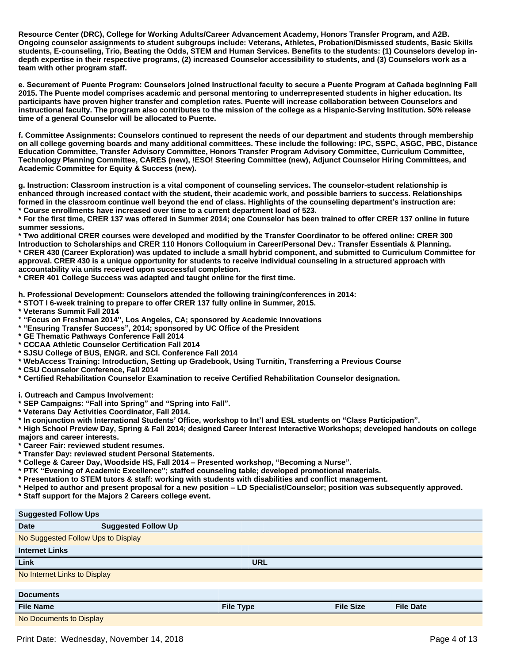**Resource Center (DRC), College for Working Adults/Career Advancement Academy, Honors Transfer Program, and A2B. Ongoing counselor assignments to student subgroups include: Veterans, Athletes, Probation/Dismissed students, Basic Skills students, E-counseling, Trio, Beating the Odds, STEM and Human Services. Benefits to the students: (1) Counselors develop indepth expertise in their respective programs, (2) increased Counselor accessibility to students, and (3) Counselors work as a team with other program staff.**

e. Securement of Puente Program: Counselors joined instructional faculty to secure a Puente Program at Cañada beginning Fall **2015. The Puente model comprises academic and personal mentoring to underrepresented students in higher education. Its participants have proven higher transfer and completion rates. Puente will increase collaboration between Counselors and instructional faculty. The program also contributes to the mission of the college as a Hispanic-Serving Institution. 50% release time of a general Counselor will be allocated to Puente.**

**f. Committee Assignments: Counselors continued to represent the needs of our department and students through membership on all college governing boards and many additional committees. These include the following: IPC, SSPC, ASGC, PBC, Distance Education Committee, Transfer Advisory Committee, Honors Transfer Program Advisory Committee, Curriculum Committee, Technology Planning Committee, CARES (new), !ESO! Steering Committee (new), Adjunct Counselor Hiring Committees, and Academic Committee for Equity & Success (new).**

**g. Instruction: Classroom instruction is a vital component of counseling services. The counselor-student relationship is enhanced through increased contact with the student, their academic work, and possible barriers to success. Relationships**  formed in the classroom continue well beyond the end of class. Highlights of the counseling department's instruction are: **\* Course enrollments have increased over time to a current department load of 523.**

**\* For the first time, CRER 137 was offered in Summer 2014; one Counselor has been trained to offer CRER 137 online in future summer sessions.**

**\* Two additional CRER courses were developed and modified by the Transfer Coordinator to be offered online: CRER 300 Introduction to Scholarships and CRER 110 Honors Colloquium in Career/Personal Dev.: Transfer Essentials & Planning. \* CRER 430 (Career Exploration) was updated to include a small hybrid component, and submitted to Curriculum Committee for approval. CRER 430 is a unique opportunity for students to receive individual counseling in a structured approach with accountability via units received upon successful completion.**

**\* CRER 401 College Success was adapted and taught online for the first time.**

**h. Professional Development: Counselors attended the following training/conferences in 2014:**

- **\* STOT I 6-week training to prepare to offer CRER 137 fully online in Summer, 2015.**
- **\* Veterans Summit Fall 2014**
- **³Focus on Freshman 2014´Los Angeles, CA; sponsored by Academic Innovations**
- **³Ensuring Transfer Success´2014; sponsored by UC Office of the President**
- **\* GE Thematic Pathways Conference Fall 2014**
- **\* CCCAA Athletic Counselor Certification Fall 2014**

**\* SJSU College of BUS, ENGR. and SCI. Conference Fall 2014**

- **\* WebAccess Training: Introduction, Setting up Gradebook, Using Turnitin, Transferring a Previous Course**
- **\* CSU Counselor Conference, Fall 2014**
- **\* Certified Rehabilitation Counselor Examination to receive Certified Rehabilitation Counselor designation.**

**i. Outreach and Campus Involvement:**

- **\* SEP Campaigns: ³Fall into Spring´and ³Spring into Fall´**
- **\* Veterans Day Activities Coordinator, Fall 2014.**
- **\* In conjunction with International Students¶Office, workshop to Int¶l and ESL students on ³Class Participation´**

**\* High School Preview Day, Spring & Fall 2014; designed Career Interest Interactive Workshops; developed handouts on college majors and career interests.**

- **\* Career Fair: reviewed student resumes.**
- **\* Transfer Day: reviewed student Personal Statements.**
- $*$  College & Career Day, Woodside HS, Fall 2014 Presented workshop, "Becoming a Nurse".
- **\* PTK ³Evening of Academic Excellence´staffed counseling table; developed promotional materials.**
- **\* Presentation to STEM tutors & staff: working with students with disabilities and conflict management.**
- **\* Helped to author and present proposal for a new position ±LD Specialist/Counselor; position was subsequently approved.**
- **\* Staff support for the Majors 2 Careers college event.**

### **Suggested Follow Ups Date Suggested Follow Up** No Suggested Follow Ups to Display **Internet Links Link URL** No Internet Links to Display **Documents File Name File Type File Size File Date**

No Documents to Display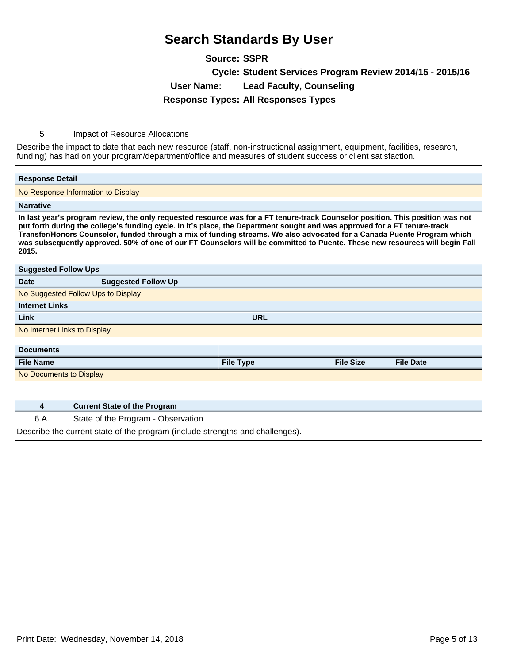**Source: SSPR Cycle: Student Services Program Review 2014/15 - 2015/16 User Name: Lead Faculty, Counseling Response Types: All Responses Types**

5 Impact of Resource Allocations

Describe the impact to date that each new resource (staff, non-instructional assignment, equipment, facilities, research, funding) has had on your program/department/office and measures of student success or client satisfaction.

### **Response Detail** No Response Information to Display **Narrative** In last year's program review, the only requested resource was for a FT tenure-track Counselor position. This position was not put forth during the college's funding cycle. In it's place, the Department sought and was approved for a FT tenure-track Transfer/Honors Counselor, funded through a mix of funding streams. We also advocated for a Cañada Puente Program which **was subsequently approved. 50% of one of our FT Counselors will be committed to Puente. These new resources will begin Fall 2015. Suggested Follow Ups Date Suggested Follow Up** No Suggested Follow Ups to Display **Internet Links Link URL** No Internet Links to Display **Documents File Name File Type File Size File Date** No Documents to Display

**4 Current State of the Program**

6.A. State of the Program - Observation

Describe the current state of the program (include strengths and challenges).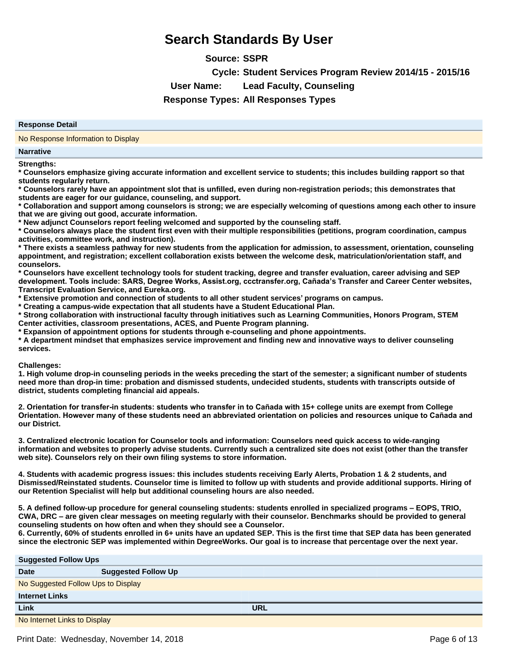**Source: SSPR**

**Cycle: Student Services Program Review 2014/15 - 2015/16**

**User Name: Lead Faculty, Counseling**

**Response Types: All Responses Types**

#### **Response Detail**

No Response Information to Display

#### **Narrative**

**Strengths:**

**\* Counselors emphasize giving accurate information and excellent service to students; this includes building rapport so that students regularly return.**

**\* Counselors rarely have an appointment slot that is unfilled, even during non-registration periods; this demonstrates that students are eager for our guidance, counseling, and support.**

**\* Collaboration and support among counselors is strong; we are especially welcoming of questions among each other to insure that we are giving out good, accurate information.**

**\* New adjunct Counselors report feeling welcomed and supported by the counseling staff.**

**\* Counselors always place the student first even with their multiple responsibilities (petitions, program coordination, campus activities, committee work, and instruction).**

**\* There exists a seamless pathway for new students from the application for admission, to assessment, orientation, counseling appointment, and registration; excellent collaboration exists between the welcome desk, matriculation/orientation staff, and counselors.**

**\* Counselors have excellent technology tools for student tracking, degree and transfer evaluation, career advising and SEP**  development. Tools include: SARS, Degree Works, Assist.org, ccctransfer.org, Cañada's Transfer and Career Center websites, **Transcript Evaluation Service, and Eureka.org.**

**\* Extensive promotion and connection of students to all other student services¶programs on campus.**

**\* Creating a campus-wide expectation that all students have a Student Educational Plan.**

**\* Strong collaboration with instructional faculty through initiatives such as Learning Communities, Honors Program, STEM Center activities, classroom presentations, ACES, and Puente Program planning.**

**\* Expansion of appointment options for students through e-counseling and phone appointments.**

**\* A department mindset that emphasizes service improvement and finding new and innovative ways to deliver counseling services.**

#### **Challenges:**

**1. High volume drop-in counseling periods in the weeks preceding the start of the semester; a significant number of students need more than drop-in time: probation and dismissed students, undecided students, students with transcripts outside of district, students completing financial aid appeals.**

2. Orientation for transfer-in students: students who transfer in to Cañada with 15+ college units are exempt from College Orientation. However many of these students need an abbreviated orientation on policies and resources unique to Cañada and **our District.**

**3. Centralized electronic location for Counselor tools and information: Counselors need quick access to wide-ranging information and websites to properly advise students. Currently such a centralized site does not exist (other than the transfer web site). Counselors rely on their own filing systems to store information.**

**4. Students with academic progress issues: this includes students receiving Early Alerts, Probation 1 & 2 students, and Dismissed/Reinstated students. Counselor time is limited to follow up with students and provide additional supports. Hiring of our Retention Specialist will help but additional counseling hours are also needed.**

**5. A defined follow-up procedure for general counseling students: students enrolled in specialized programs ±EOPS, TRIO,**  CWA, DRC – are given clear messages on meeting regularly with their counselor. Benchmarks should be provided to general **counseling students on how often and when they should see a Counselor.**

**6. Currently, 60% of students enrolled in 6+ units have an updated SEP. This is the first time that SEP data has been generated since the electronic SEP was implemented within DegreeWorks. Our goal is to increase that percentage over the next year.**

| <b>Suggested Follow Ups</b>  |                                    |            |  |  |
|------------------------------|------------------------------------|------------|--|--|
| <b>Date</b>                  | <b>Suggested Follow Up</b>         |            |  |  |
|                              | No Suggested Follow Ups to Display |            |  |  |
| <b>Internet Links</b>        |                                    |            |  |  |
| Link                         |                                    | <b>URL</b> |  |  |
| No Internet Links to Display |                                    |            |  |  |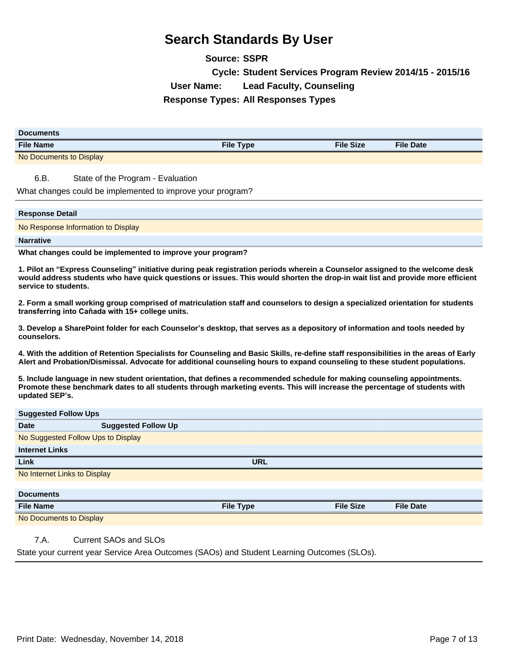**Source: SSPR Cycle: Student Services Program Review 2014/15 - 2015/16 User Name: Lead Faculty, Counseling Response Types: All Responses Types**

| <b>Documents</b>        |                  |                  |                  |
|-------------------------|------------------|------------------|------------------|
| <b>File Name</b>        | <b>File Type</b> | <b>File Size</b> | <b>File Date</b> |
| No Documents to Display |                  |                  |                  |
|                         |                  |                  |                  |

6.B. State of the Program - Evaluation

What changes could be implemented to improve your program?

#### **Response Detail**

No Response Information to Display

#### **Narrative**

**What changes could be implemented to improve your program?**

**1. Pilot an ³Express Counseling´initiative during peak registration periods wherein a Counselor assigned to the welcome desk would address students who have quick questions or issues. This would shorten the drop-in wait list and provide more efficient service to students.**

**2. Form a small working group comprised of matriculation staff and counselors to design a specialized orientation for students**  transferring into Cañada with 15+ college units.

**3. Develop a SharePoint folder for each Counselor¶s desktop, that serves as a depository of information and tools needed by counselors.**

**4. With the addition of Retention Specialists for Counseling and Basic Skills, re-define staff responsibilities in the areas of Early Alert and Probation/Dismissal. Advocate for additional counseling hours to expand counseling to these student populations.**

**5. Include language in new student orientation, that defines a recommended schedule for making counseling appointments. Promote these benchmark dates to all students through marketing events. This will increase the percentage of students with updated SEP¶s.**

### **Suggested Follow Ups**

| <u>sagasted : sustralie</u>  |                                    |                  |                  |                  |  |
|------------------------------|------------------------------------|------------------|------------------|------------------|--|
| <b>Date</b>                  | <b>Suggested Follow Up</b>         |                  |                  |                  |  |
|                              | No Suggested Follow Ups to Display |                  |                  |                  |  |
| <b>Internet Links</b>        |                                    |                  |                  |                  |  |
| Link                         |                                    | <b>URL</b>       |                  |                  |  |
| No Internet Links to Display |                                    |                  |                  |                  |  |
|                              |                                    |                  |                  |                  |  |
| <b>Documents</b>             |                                    |                  |                  |                  |  |
| <b>File Name</b>             |                                    | <b>File Type</b> | <b>File Size</b> | <b>File Date</b> |  |
| No Documents to Display      |                                    |                  |                  |                  |  |
|                              |                                    |                  |                  |                  |  |

### 7.A. Current SAOs and SLOs

State your current year Service Area Outcomes (SAOs) and Student Learning Outcomes (SLOs).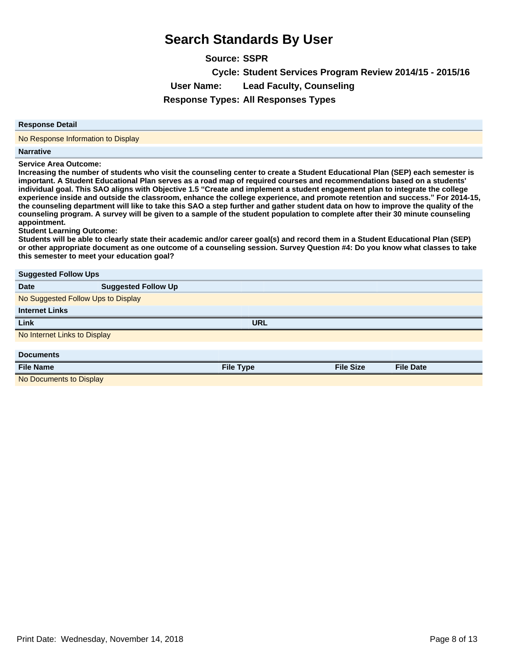| <b>Source: SSPR</b> |                                                          |
|---------------------|----------------------------------------------------------|
|                     | Cycle: Student Services Program Review 2014/15 - 2015/16 |
| User Name:          | <b>Lead Faculty, Counseling</b>                          |
|                     | <b>Response Types: All Responses Types</b>               |

#### **Response Detail**

No Response Information to Display

#### **Narrative**

**Service Area Outcome:**

**Increasing the number of students who visit the counseling center to create a Student Educational Plan (SEP) each semester is important. A Student Educational Plan serves as a road map of required courses and recommendations based on a students' individual goal. This SAO aligns with Objective 1.5³Create and implement a student engagement plan to integrate the college experience inside and outside the classroom, enhance the college experience, and promote retention and success.´For 2014-15, the counseling department will like to take this SAO a step further and gather student data on how to improve the quality of the counseling program. A survey will be given to a sample of the student population to complete after their 30 minute counseling appointment.**

**Student Learning Outcome:**

**Students will be able to clearly state their academic and/or career goal(s) and record them in a Student Educational Plan (SEP) or other appropriate document as one outcome of a counseling session. Survey Question #4: Do you know what classes to take this semester to meet your education goal?**

| <b>Suggested Follow Ups</b>        |                            |                  |                  |                  |  |
|------------------------------------|----------------------------|------------------|------------------|------------------|--|
| <b>Date</b>                        | <b>Suggested Follow Up</b> |                  |                  |                  |  |
| No Suggested Follow Ups to Display |                            |                  |                  |                  |  |
| <b>Internet Links</b>              |                            |                  |                  |                  |  |
| Link                               |                            | <b>URL</b>       |                  |                  |  |
| No Internet Links to Display       |                            |                  |                  |                  |  |
|                                    |                            |                  |                  |                  |  |
| <b>Documents</b>                   |                            |                  |                  |                  |  |
| <b>File Name</b>                   |                            | <b>File Type</b> | <b>File Size</b> | <b>File Date</b> |  |
| No Documents to Display            |                            |                  |                  |                  |  |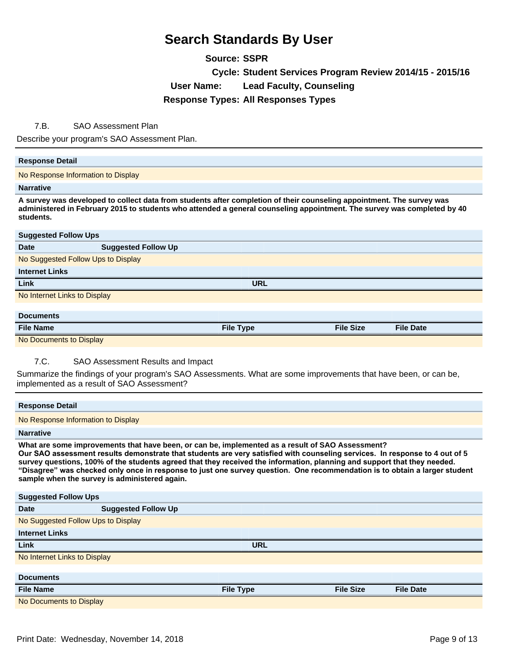**Source: SSPR Cycle: Student Services Program Review 2014/15 - 2015/16 User Name: Lead Faculty, Counseling Response Types: All Responses Types**

### 7.B. SAO Assessment Plan

Describe your program's SAO Assessment Plan.

### **Response Detail**

No Response Information to Display

#### **Narrative**

**A survey was developed to collect data from students after completion of their counseling appointment. The survey was administered in February 2015 to students who attended a general counseling appointment. The survey was completed by 40 students.**

| <b>Suggested Follow Ups</b>        |                            |                  |                  |                  |  |  |
|------------------------------------|----------------------------|------------------|------------------|------------------|--|--|
| <b>Date</b>                        | <b>Suggested Follow Up</b> |                  |                  |                  |  |  |
| No Suggested Follow Ups to Display |                            |                  |                  |                  |  |  |
| <b>Internet Links</b>              |                            |                  |                  |                  |  |  |
| Link                               |                            | <b>URL</b>       |                  |                  |  |  |
| No Internet Links to Display       |                            |                  |                  |                  |  |  |
|                                    |                            |                  |                  |                  |  |  |
| <b>Documents</b>                   |                            |                  |                  |                  |  |  |
| <b>File Name</b>                   |                            | <b>File Type</b> | <b>File Size</b> | <b>File Date</b> |  |  |

No Documents to Display

### 7.C. SAO Assessment Results and Impact

Summarize the findings of your program's SAO Assessments. What are some improvements that have been, or can be, implemented as a result of SAO Assessment?

| <b>Response Detail</b>                                                                                                                                                                                                                                                                                                                                                                                                                                                                                                                     |                            |                  |                  |                  |  |
|--------------------------------------------------------------------------------------------------------------------------------------------------------------------------------------------------------------------------------------------------------------------------------------------------------------------------------------------------------------------------------------------------------------------------------------------------------------------------------------------------------------------------------------------|----------------------------|------------------|------------------|------------------|--|
| No Response Information to Display                                                                                                                                                                                                                                                                                                                                                                                                                                                                                                         |                            |                  |                  |                  |  |
| <b>Narrative</b>                                                                                                                                                                                                                                                                                                                                                                                                                                                                                                                           |                            |                  |                  |                  |  |
| What are some improvements that have been, or can be, implemented as a result of SAO Assessment?<br>Our SAO assessment results demonstrate that students are very satisfied with counseling services. In response to 4 out of 5<br>survey questions, 100% of the students agreed that they received the information, planning and support that they needed.<br>"Disagree" was checked only once in response to just one survey question. One recommendation is to obtain a larger student<br>sample when the survey is administered again. |                            |                  |                  |                  |  |
| <b>Suggested Follow Ups</b>                                                                                                                                                                                                                                                                                                                                                                                                                                                                                                                |                            |                  |                  |                  |  |
| Date                                                                                                                                                                                                                                                                                                                                                                                                                                                                                                                                       | <b>Suggested Follow Up</b> |                  |                  |                  |  |
| No Suggested Follow Ups to Display                                                                                                                                                                                                                                                                                                                                                                                                                                                                                                         |                            |                  |                  |                  |  |
| <b>Internet Links</b>                                                                                                                                                                                                                                                                                                                                                                                                                                                                                                                      |                            |                  |                  |                  |  |
| Link                                                                                                                                                                                                                                                                                                                                                                                                                                                                                                                                       |                            | <b>URL</b>       |                  |                  |  |
| No Internet Links to Display                                                                                                                                                                                                                                                                                                                                                                                                                                                                                                               |                            |                  |                  |                  |  |
|                                                                                                                                                                                                                                                                                                                                                                                                                                                                                                                                            |                            |                  |                  |                  |  |
| <b>Documents</b>                                                                                                                                                                                                                                                                                                                                                                                                                                                                                                                           |                            |                  |                  |                  |  |
| <b>File Name</b>                                                                                                                                                                                                                                                                                                                                                                                                                                                                                                                           |                            | <b>File Type</b> | <b>File Size</b> | <b>File Date</b> |  |
| No Documents to Display                                                                                                                                                                                                                                                                                                                                                                                                                                                                                                                    |                            |                  |                  |                  |  |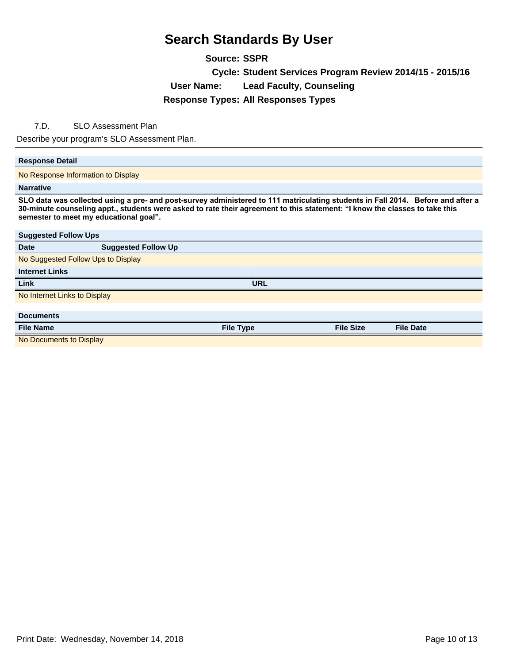**Source: SSPR Cycle: Student Services Program Review 2014/15 - 2015/16 User Name: Lead Faculty, Counseling Response Types: All Responses Types**

### 7.D. SLO Assessment Plan

Describe your program's SLO Assessment Plan.

### **Response Detail**

No Response Information to Display

#### **Narrative**

SLO data was collected using a pre- and post-survey administered to 111 matriculating students in Fall 2014. Before and after a **30-minute counseling appt., students were asked to rate their agreement to this statement: ³I know the classes to take this semester to meet my educational goal´**

| <b>Suggested Follow Ups</b>        |                            |                  |                  |                  |  |  |
|------------------------------------|----------------------------|------------------|------------------|------------------|--|--|
| <b>Date</b>                        | <b>Suggested Follow Up</b> |                  |                  |                  |  |  |
| No Suggested Follow Ups to Display |                            |                  |                  |                  |  |  |
| <b>Internet Links</b>              |                            |                  |                  |                  |  |  |
| Link                               |                            | <b>URL</b>       |                  |                  |  |  |
| No Internet Links to Display       |                            |                  |                  |                  |  |  |
|                                    |                            |                  |                  |                  |  |  |
| <b>Documents</b>                   |                            |                  |                  |                  |  |  |
| <b>File Name</b>                   |                            | <b>File Type</b> | <b>File Size</b> | <b>File Date</b> |  |  |
| No Documents to Display            |                            |                  |                  |                  |  |  |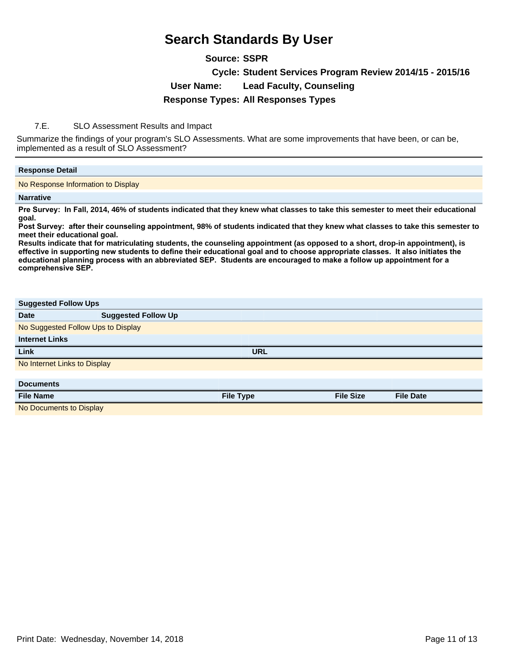### **Source: SSPR**

**Cycle: Student Services Program Review 2014/15 - 2015/16**

**User Name: Lead Faculty, Counseling**

### **Response Types: All Responses Types**

### 7.E. SLO Assessment Results and Impact

Summarize the findings of your program's SLO Assessments. What are some improvements that have been, or can be, implemented as a result of SLO Assessment?

### **Response Detail**

No Response Information to Display

### **Narrative**

Pre Survey: In Fall, 2014, 46% of students indicated that they knew what classes to take this semester to meet their educational **goal.** 

Post Survey: after their counseling appointment, 98% of students indicated that they knew what classes to take this semester to **meet their educational goal.** 

**Results indicate that for matriculating students, the counseling appointment (as opposed to a short, drop-in appointment), is**  effective in supporting new students to define their educational goal and to choose appropriate classes. It also initiates the educational planning process with an abbreviated SEP. Students are encouraged to make a follow up appointment for a comprehensive SEP.

| <b>Suggested Follow Ups</b>        |                            |                  |                  |                  |  |
|------------------------------------|----------------------------|------------------|------------------|------------------|--|
| <b>Date</b>                        | <b>Suggested Follow Up</b> |                  |                  |                  |  |
| No Suggested Follow Ups to Display |                            |                  |                  |                  |  |
| <b>Internet Links</b>              |                            |                  |                  |                  |  |
| Link                               |                            | <b>URL</b>       |                  |                  |  |
| No Internet Links to Display       |                            |                  |                  |                  |  |
|                                    |                            |                  |                  |                  |  |
| <b>Documents</b>                   |                            |                  |                  |                  |  |
| <b>File Name</b>                   |                            | <b>File Type</b> | <b>File Size</b> | <b>File Date</b> |  |
| No Documents to Display            |                            |                  |                  |                  |  |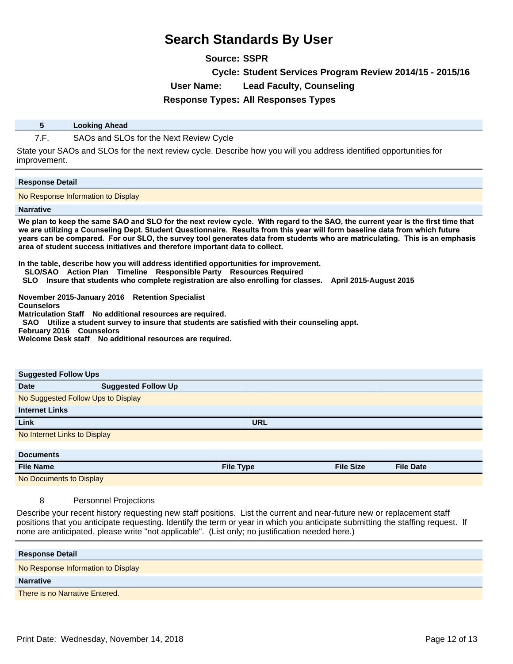**Source: SSPR**

**Cycle: Student Services Program Review 2014/15 - 2015/16**

**User Name: Lead Faculty, Counseling**

**Response Types: All Responses Types**

### **5 Looking Ahead**

7.F. SAOs and SLOs for the Next Review Cycle

State your SAOs and SLOs for the next review cycle. Describe how you will you address identified opportunities for improvement.

### **Response Detail**

No Response Information to Display

#### **Narrative**

We plan to keep the same SAO and SLO for the next review cycle. With regard to the SAO, the current year is the first time that we are utilizing a Counseling Dept. Student Questionnaire. Results from this year will form baseline data from which future years can be compared. For our SLO, the survey tool generates data from students who are matriculating. This is an emphasis **area of student success initiatives and therefore important data to collect.** 

**In the table, describe how you will address identified opportunities for improvement.** 

- **SLO/SAO Action Plan Timeline Responsible Party Resources Required**
- **SLO Insure that students who complete registration are also enrolling for classes. April 2015-August 2015**

**November 2015-January 2016 Retention Specialist** 

**Counselors** 

**Matriculation Staff No additional resources are required.** 

 **SAO Utilize a student survey to insure that students are satisfied with their counseling appt.** 

**February 2016 Counselors** 

**Welcome Desk staff No additional resources are required.** 

| <b>Suggested Follow Ups</b>  |                                    |                  |                  |                  |  |  |  |
|------------------------------|------------------------------------|------------------|------------------|------------------|--|--|--|
| <b>Date</b>                  | <b>Suggested Follow Up</b>         |                  |                  |                  |  |  |  |
|                              | No Suggested Follow Ups to Display |                  |                  |                  |  |  |  |
| <b>Internet Links</b>        |                                    |                  |                  |                  |  |  |  |
| Link                         |                                    | <b>URL</b>       |                  |                  |  |  |  |
| No Internet Links to Display |                                    |                  |                  |                  |  |  |  |
|                              |                                    |                  |                  |                  |  |  |  |
| <b>Documents</b>             |                                    |                  |                  |                  |  |  |  |
| <b>File Name</b>             |                                    | <b>File Type</b> | <b>File Size</b> | <b>File Date</b> |  |  |  |

No Documents to Display

### 8 Personnel Projections

Describe your recent history requesting new staff positions. List the current and near-future new or replacement staff positions that you anticipate requesting. Identify the term or year in which you anticipate submitting the staffing request. If none are anticipated, please write "not applicable". (List only; no justification needed here.)

| <b>Response Detail</b>             |
|------------------------------------|
| No Response Information to Display |
| <b>Narrative</b>                   |
| There is no Narrative Entered.     |